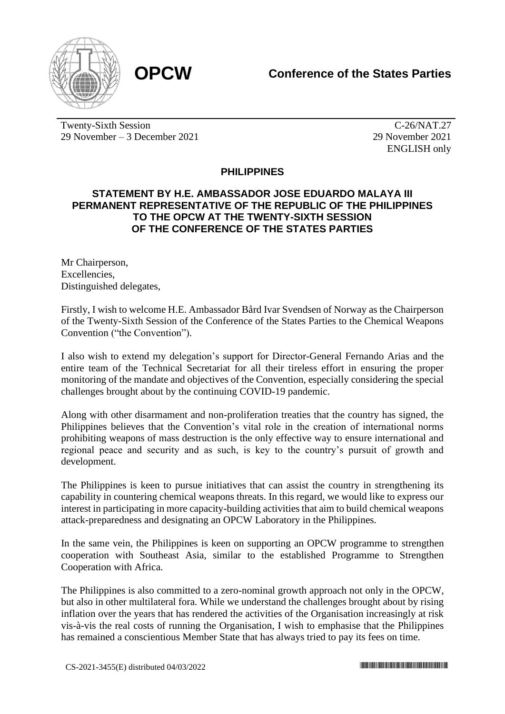



Twenty-Sixth Session 29 November – 3 December 2021

C-26/NAT.27 29 November 2021 ENGLISH only

## **PHILIPPINES**

## **STATEMENT BY H.E. AMBASSADOR JOSE EDUARDO MALAYA III PERMANENT REPRESENTATIVE OF THE REPUBLIC OF THE PHILIPPINES TO THE OPCW AT THE TWENTY-SIXTH SESSION OF THE CONFERENCE OF THE STATES PARTIES**

Mr Chairperson, Excellencies, Distinguished delegates,

Firstly, I wish to welcome H.E. Ambassador Bård Ivar Svendsen of Norway as the Chairperson of the Twenty-Sixth Session of the Conference of the States Parties to the Chemical Weapons Convention ("the Convention").

I also wish to extend my delegation's support for Director-General Fernando Arias and the entire team of the Technical Secretariat for all their tireless effort in ensuring the proper monitoring of the mandate and objectives of the Convention, especially considering the special challenges brought about by the continuing COVID-19 pandemic.

Along with other disarmament and non-proliferation treaties that the country has signed, the Philippines believes that the Convention's vital role in the creation of international norms prohibiting weapons of mass destruction is the only effective way to ensure international and regional peace and security and as such, is key to the country's pursuit of growth and development.

The Philippines is keen to pursue initiatives that can assist the country in strengthening its capability in countering chemical weapons threats. In this regard, we would like to express our interest in participating in more capacity-building activities that aim to build chemical weapons attack-preparedness and designating an OPCW Laboratory in the Philippines.

In the same vein, the Philippines is keen on supporting an OPCW programme to strengthen cooperation with Southeast Asia, similar to the established Programme to Strengthen Cooperation with Africa.

The Philippines is also committed to a zero-nominal growth approach not only in the OPCW, but also in other multilateral fora. While we understand the challenges brought about by rising inflation over the years that has rendered the activities of the Organisation increasingly at risk vis-à-vis the real costs of running the Organisation, I wish to emphasise that the Philippines has remained a conscientious Member State that has always tried to pay its fees on time.